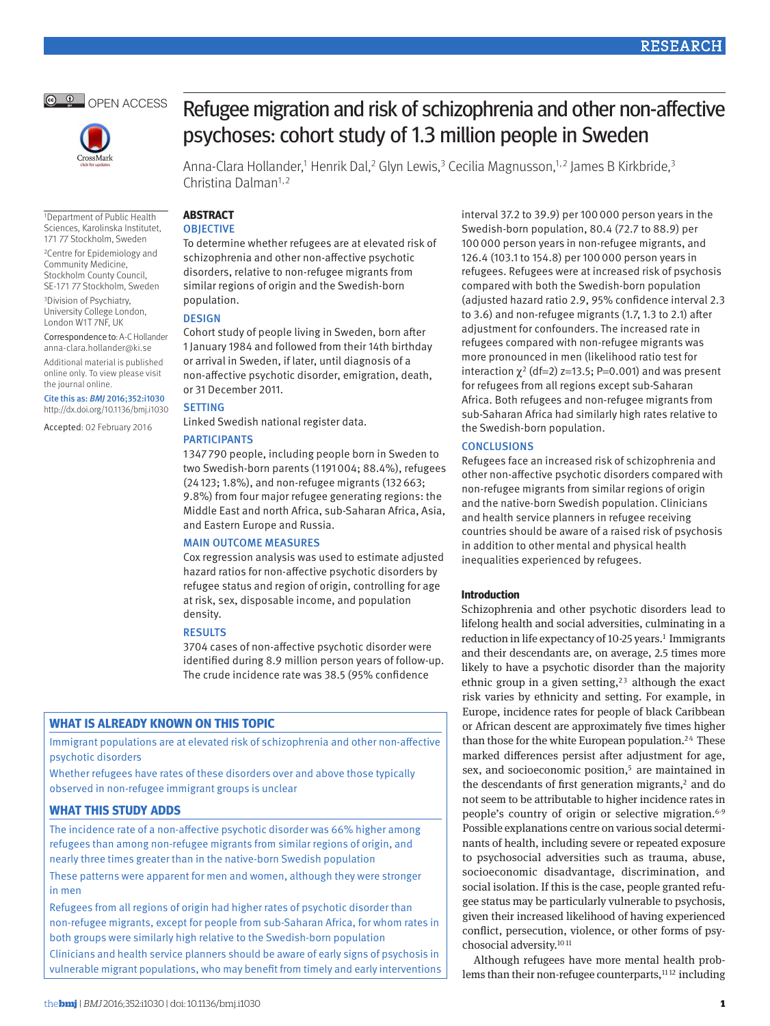**C O** OPEN ACCESS



1Department of Public Health Sciences, Karolinska Institutet, 171 77 Stockholm, Sweden 2Centre for Epidemiology and Community Medicine, Stockholm County Council, SE-171 77 Stockholm, Sweden 3Division of Psychiatry,

University College London, London W1T 7NF, UK

Correspondence to: A-C Hollander anna-clara.hollander@ki.se Additional material is published online only. To view please visit the journal online.

Cite this as: *BMJ* 2016;352:i1030 http://dx.doi.org/10.1136/bmj.i1030

Accepted: 02 February 2016

# Refugee migration and risk of schizophrenia and other non-affective psychoses: cohort study of 1.3 million people in Sweden

Anna-Clara Hollander,<sup>1</sup> Henrik Dal,<sup>2</sup> Glyn Lewis,<sup>3</sup> Cecilia Magnusson,<sup>1,2</sup> James B Kirkbride,<sup>3</sup> Christina Dalman<sup>1,2</sup>

# **ABSTRACT**

# **OBJECTIVE**

To determine whether refugees are at elevated risk of schizophrenia and other non-affective psychotic disorders, relative to non-refugee migrants from similar regions of origin and the Swedish-born population.

#### **DESIGN**

Cohort study of people living in Sweden, born after 1 January 1984 and followed from their 14th birthday or arrival in Sweden, if later, until diagnosis of a non-affective psychotic disorder, emigration, death, or 31 December 2011.

#### **SETTING**

Linked Swedish national register data.

#### **PARTICIPANTS**

1347790 people, including people born in Sweden to two Swedish-born parents (1191004; 88.4%), refugees (24123; 1.8%), and non-refugee migrants (132663; 9.8%) from four major refugee generating regions: the Middle East and north Africa, sub-Saharan Africa, Asia, and Eastern Europe and Russia.

### Main outcome measures

Cox regression analysis was used to estimate adjusted hazard ratios for non-affective psychotic disorders by refugee status and region of origin, controlling for age at risk, sex, disposable income, and population density.

#### **RESULTS**

3704 cases of non-affective psychotic disorder were identified during 8.9 million person years of follow-up. The crude incidence rate was 38.5 (95% confidence

# **What is already known on this topic**

Immigrant populations are at elevated risk of schizophrenia and other non-affective psychotic disorders

Whether refugees have rates of these disorders over and above those typically observed in non-refugee immigrant groups is unclear

# **What this study adds**

The incidence rate of a non-affective psychotic disorder was 66% higher among refugees than among non-refugee migrants from similar regions of origin, and nearly three times greater than in the native-born Swedish population These patterns were apparent for men and women, although they were stronger in men

Refugees from all regions of origin had higher rates of psychotic disorder than non-refugee migrants, except for people from sub-Saharan Africa, for whom rates in both groups were similarly high relative to the Swedish-born population

Clinicians and health service planners should be aware of early signs of psychosis in vulnerable migrant populations, who may benefit from timely and early interventions interval 37.2 to 39.9) per 100000 person years in the Swedish-born population, 80.4 (72.7 to 88.9) per 100000 person years in non-refugee migrants, and 126.4 (103.1 to 154.8) per 100000 person years in refugees. Refugees were at increased risk of psychosis compared with both the Swedish-born population (adjusted hazard ratio 2.9, 95% confidence interval 2.3 to 3.6) and non-refugee migrants (1.7, 1.3 to 2.1) after adjustment for confounders. The increased rate in refugees compared with non-refugee migrants was more pronounced in men (likelihood ratio test for interaction  $\chi^2$  (df=2) z=13.5; P=0.001) and was present for refugees from all regions except sub-Saharan Africa. Both refugees and non-refugee migrants from sub-Saharan Africa had similarly high rates relative to the Swedish-born population.

# **CONCLUSIONS**

Refugees face an increased risk of schizophrenia and other non-affective psychotic disorders compared with non-refugee migrants from similar regions of origin and the native-born Swedish population. Clinicians and health service planners in refugee receiving countries should be aware of a raised risk of psychosis in addition to other mental and physical health inequalities experienced by refugees.

# **Introduction**

Schizophrenia and other psychotic disorders lead to lifelong health and social adversities, culminating in a reduction in life expectancy of 10-25 years.<sup>1</sup> Immigrants and their descendants are, on average, 2.5 times more likely to have a psychotic disorder than the majority ethnic group in a given setting,  $2<sup>3</sup>$  although the exact risk varies by ethnicity and setting. For example, in Europe, incidence rates for people of black Caribbean or African descent are approximately five times higher than those for the white European population.<sup>24</sup> These marked differences persist after adjustment for age, sex, and socioeconomic position,<sup>5</sup> are maintained in the descendants of first generation migrants,<sup>2</sup> and do not seem to be attributable to higher incidence rates in people's country of origin or selective migration.<sup>6-9</sup> Possible explanations centre on various social determinants of health, including severe or repeated exposure to psychosocial adversities such as trauma, abuse, socioeconomic disadvantage, discrimination, and social isolation. If this is the case, people granted refugee status may be particularly vulnerable to psychosis, given their increased likelihood of having experienced conflict, persecution, violence, or other forms of psychosocial adversity.10 <sup>11</sup>

Although refugees have more mental health problems than their non-refugee counterparts,<sup>1112</sup> including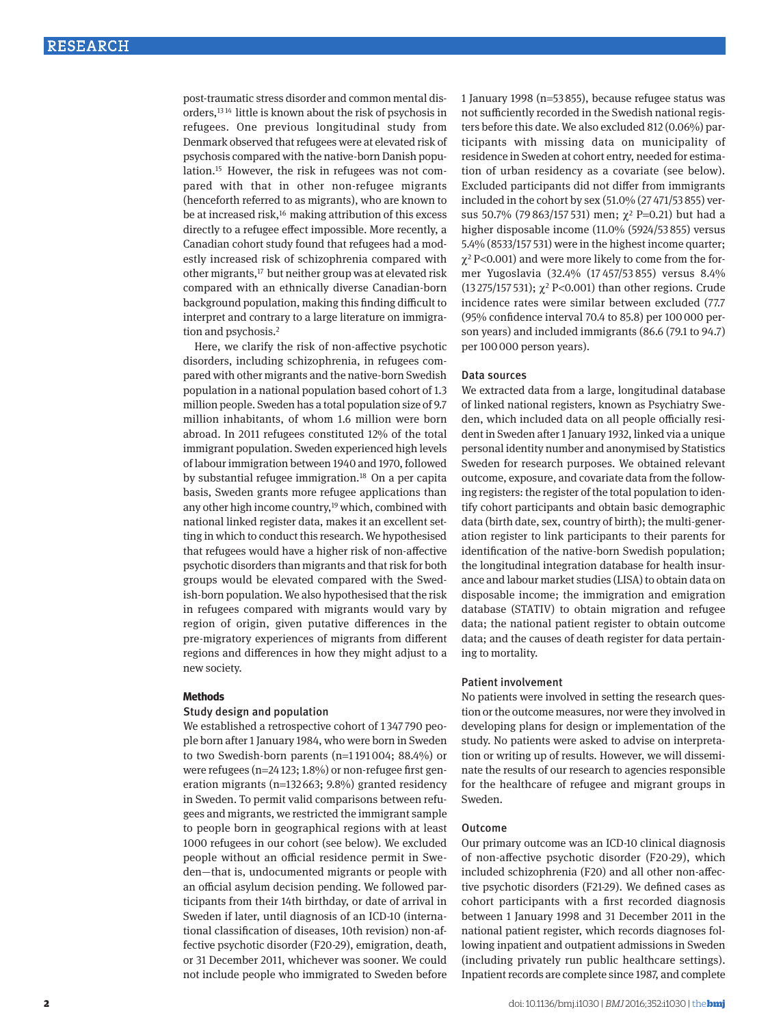post-traumatic stress disorder and common mental disorders,13 14 little is known about the risk of psychosis in refugees. One previous longitudinal study from Denmark observed that refugees were at elevated risk of psychosis compared with the native-born Danish population.15 However, the risk in refugees was not compared with that in other non-refugee migrants (henceforth referred to as migrants), who are known to be at increased risk,<sup>16</sup> making attribution of this excess directly to a refugee effect impossible. More recently, a Canadian cohort study found that refugees had a modestly increased risk of schizophrenia compared with other migrants,17 but neither group was at elevated risk compared with an ethnically diverse Canadian-born background population, making this finding difficult to interpret and contrary to a large literature on immigration and psychosis.2

Here, we clarify the risk of non-affective psychotic disorders, including schizophrenia, in refugees compared with other migrants and the native-born Swedish population in a national population based cohort of 1.3 million people. Sweden has a total population size of 9.7 million inhabitants, of whom 1.6 million were born abroad. In 2011 refugees constituted 12% of the total immigrant population. Sweden experienced high levels of labour immigration between 1940 and 1970, followed by substantial refugee immigration.18 On a per capita basis, Sweden grants more refugee applications than any other high income country,<sup>19</sup> which, combined with national linked register data, makes it an excellent setting in which to conduct this research. We hypothesised that refugees would have a higher risk of non-affective psychotic disorders than migrants and that risk for both groups would be elevated compared with the Swedish-born population. We also hypothesised that the risk in refugees compared with migrants would vary by region of origin, given putative differences in the pre-migratory experiences of migrants from different regions and differences in how they might adjust to a new society.

#### **Methods**

# Study design and population

We established a retrospective cohort of 1 347 790 people born after 1 January 1984, who were born in Sweden to two Swedish-born parents (n=1 191 004; 88.4%) or were refugees (n=24 123; 1.8%) or non-refugee first generation migrants (n=132 663; 9.8%) granted residency in Sweden. To permit valid comparisons between refugees and migrants, we restricted the immigrant sample to people born in geographical regions with at least 1000 refugees in our cohort (see below). We excluded people without an official residence permit in Sweden—that is, undocumented migrants or people with an official asylum decision pending. We followed participants from their 14th birthday, or date of arrival in Sweden if later, until diagnosis of an ICD-10 (international classification of diseases, 10th revision) non-affective psychotic disorder (F20-29), emigration, death, or 31 December 2011, whichever was sooner. We could not include people who immigrated to Sweden before

1 January 1998 (n=53 855), because refugee status was not sufficiently recorded in the Swedish national registers before this date. We also excluded 812 (0.06%) participants with missing data on municipality of residence in Sweden at cohort entry, needed for estimation of urban residency as a covariate (see below). Excluded participants did not differ from immigrants included in the cohort by sex (51.0% (27471/53855) versus 50.7% (79 863/157 531) men;  $\chi^2$  P=0.21) but had a higher disposable income (11.0% (5924/53 855) versus 5.4% (8533/157 531) were in the highest income quarter;  $\chi^2$  P<0.001) and were more likely to come from the former Yugoslavia (32.4% (17 457/53 855) versus 8.4% (13275/157 531);  $\chi^2$  P<0.001) than other regions. Crude incidence rates were similar between excluded (77.7 (95% confidence interval 70.4 to 85.8) per 100000 person years) and included immigrants (86.6 (79.1 to 94.7) per 100000 person years).

#### Data sources

We extracted data from a large, longitudinal database of linked national registers, known as Psychiatry Sweden, which included data on all people officially resident in Sweden after 1 January 1932, linked via a unique personal identity number and anonymised by Statistics Sweden for research purposes. We obtained relevant outcome, exposure, and covariate data from the following registers: the register of the total population to identify cohort participants and obtain basic demographic data (birth date, sex, country of birth); the multi-generation register to link participants to their parents for identification of the native-born Swedish population; the longitudinal integration database for health insurance and labour market studies (LISA) to obtain data on disposable income; the immigration and emigration database (STATIV) to obtain migration and refugee data; the national patient register to obtain outcome data; and the causes of death register for data pertaining to mortality.

#### Patient involvement

No patients were involved in setting the research question or the outcome measures, nor were they involved in developing plans for design or implementation of the study. No patients were asked to advise on interpretation or writing up of results. However, we will disseminate the results of our research to agencies responsible for the healthcare of refugee and migrant groups in Sweden.

#### Outcome

Our primary outcome was an ICD-10 clinical diagnosis of non-affective psychotic disorder (F20-29), which included schizophrenia (F20) and all other non-affective psychotic disorders (F21-29). We defined cases as cohort participants with a first recorded diagnosis between 1 January 1998 and 31 December 2011 in the national patient register, which records diagnoses following inpatient and outpatient admissions in Sweden (including privately run public healthcare settings). Inpatient records are complete since 1987, and complete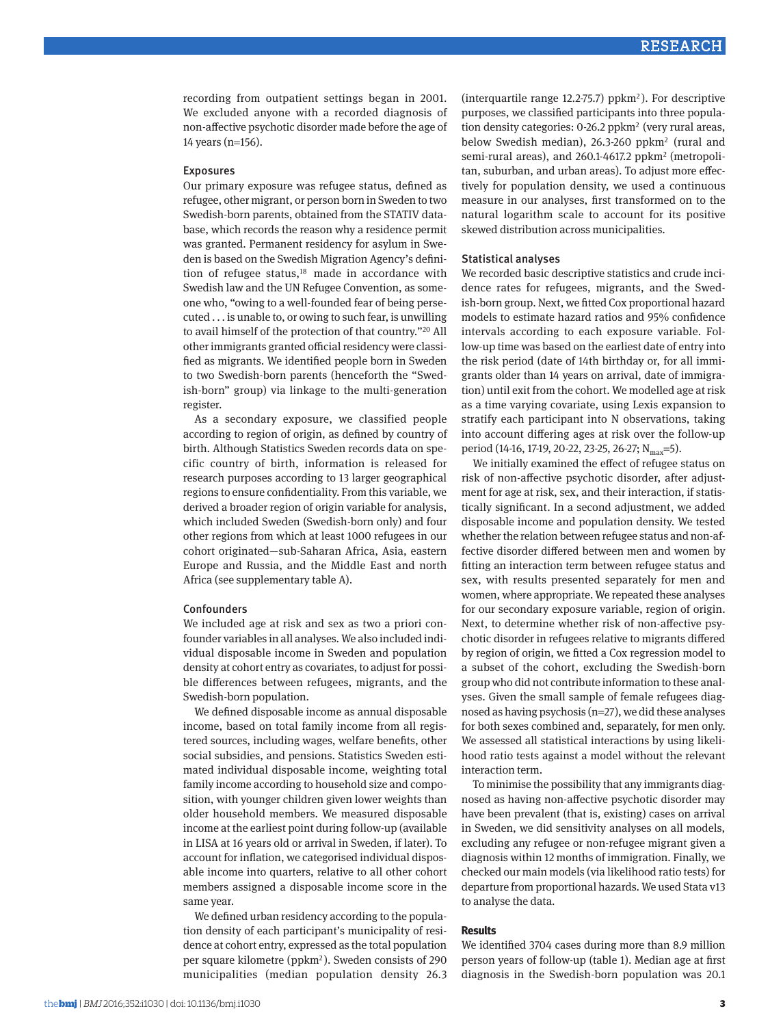recording from outpatient settings began in 2001. We excluded anyone with a recorded diagnosis of non-affective psychotic disorder made before the age of 14 years (n=156).

#### Exposures

Our primary exposure was refugee status, defined as refugee, other migrant, or person born in Sweden to two Swedish-born parents, obtained from the STATIV database, which records the reason why a residence permit was granted. Permanent residency for asylum in Sweden is based on the Swedish Migration Agency's definition of refugee status,18 made in accordance with Swedish law and the UN Refugee Convention, as someone who, "owing to a well-founded fear of being persecuted . . . is unable to, or owing to such fear, is unwilling to avail himself of the protection of that country."20 All other immigrants granted official residency were classified as migrants. We identified people born in Sweden to two Swedish-born parents (henceforth the "Swedish-born" group) via linkage to the multi-generation register.

As a secondary exposure, we classified people according to region of origin, as defined by country of birth. Although Statistics Sweden records data on specific country of birth, information is released for research purposes according to 13 larger geographical regions to ensure confidentiality. From this variable, we derived a broader region of origin variable for analysis, which included Sweden (Swedish-born only) and four other regions from which at least 1000 refugees in our cohort originated—sub-Saharan Africa, Asia, eastern Europe and Russia, and the Middle East and north Africa (see supplementary table A).

#### Confounders

We included age at risk and sex as two a priori confounder variables in all analyses. We also included individual disposable income in Sweden and population density at cohort entry as covariates, to adjust for possible differences between refugees, migrants, and the Swedish-born population.

We defined disposable income as annual disposable income, based on total family income from all registered sources, including wages, welfare benefits, other social subsidies, and pensions. Statistics Sweden estimated individual disposable income, weighting total family income according to household size and composition, with younger children given lower weights than older household members. We measured disposable income at the earliest point during follow-up (available in LISA at 16 years old or arrival in Sweden, if later). To account for inflation, we categorised individual disposable income into quarters, relative to all other cohort members assigned a disposable income score in the same year.

We defined urban residency according to the population density of each participant's municipality of residence at cohort entry, expressed as the total population per square kilometre (ppkm2 ). Sweden consists of 290 municipalities (median population density 26.3 (interquartile range  $12.2$ -75.7) pp $km<sup>2</sup>$ ). For descriptive purposes, we classified participants into three population density categories: 0-26.2 ppkm2 (very rural areas, below Swedish median), 26.3-260 ppkm2 (rural and semi-rural areas), and 260.1-4617.2 ppkm<sup>2</sup> (metropolitan, suburban, and urban areas). To adjust more effectively for population density, we used a continuous measure in our analyses, first transformed on to the natural logarithm scale to account for its positive skewed distribution across municipalities.

#### Statistical analyses

We recorded basic descriptive statistics and crude incidence rates for refugees, migrants, and the Swedish-born group. Next, we fitted Cox proportional hazard models to estimate hazard ratios and 95% confidence intervals according to each exposure variable. Follow-up time was based on the earliest date of entry into the risk period (date of 14th birthday or, for all immigrants older than 14 years on arrival, date of immigration) until exit from the cohort. We modelled age at risk as a time varying covariate, using Lexis expansion to stratify each participant into N observations, taking into account differing ages at risk over the follow-up period (14-16, 17-19, 20-22, 23-25, 26-27; N<sub>max</sub>=5).

We initially examined the effect of refugee status on risk of non-affective psychotic disorder, after adjustment for age at risk, sex, and their interaction, if statistically significant. In a second adjustment, we added disposable income and population density. We tested whether the relation between refugee status and non-affective disorder differed between men and women by fitting an interaction term between refugee status and sex, with results presented separately for men and women, where appropriate. We repeated these analyses for our secondary exposure variable, region of origin. Next, to determine whether risk of non-affective psychotic disorder in refugees relative to migrants differed by region of origin, we fitted a Cox regression model to a subset of the cohort, excluding the Swedish-born group who did not contribute information to these analyses. Given the small sample of female refugees diagnosed as having psychosis (n=27), we did these analyses for both sexes combined and, separately, for men only. We assessed all statistical interactions by using likelihood ratio tests against a model without the relevant interaction term.

To minimise the possibility that any immigrants diagnosed as having non-affective psychotic disorder may have been prevalent (that is, existing) cases on arrival in Sweden, we did sensitivity analyses on all models, excluding any refugee or non-refugee migrant given a diagnosis within 12 months of immigration. Finally, we checked our main models (via likelihood ratio tests) for departure from proportional hazards. We used Stata v13 to analyse the data.

# **Results**

We identified 3704 cases during more than 8.9 million person years of follow-up (table 1). Median age at first diagnosis in the Swedish-born population was 20.1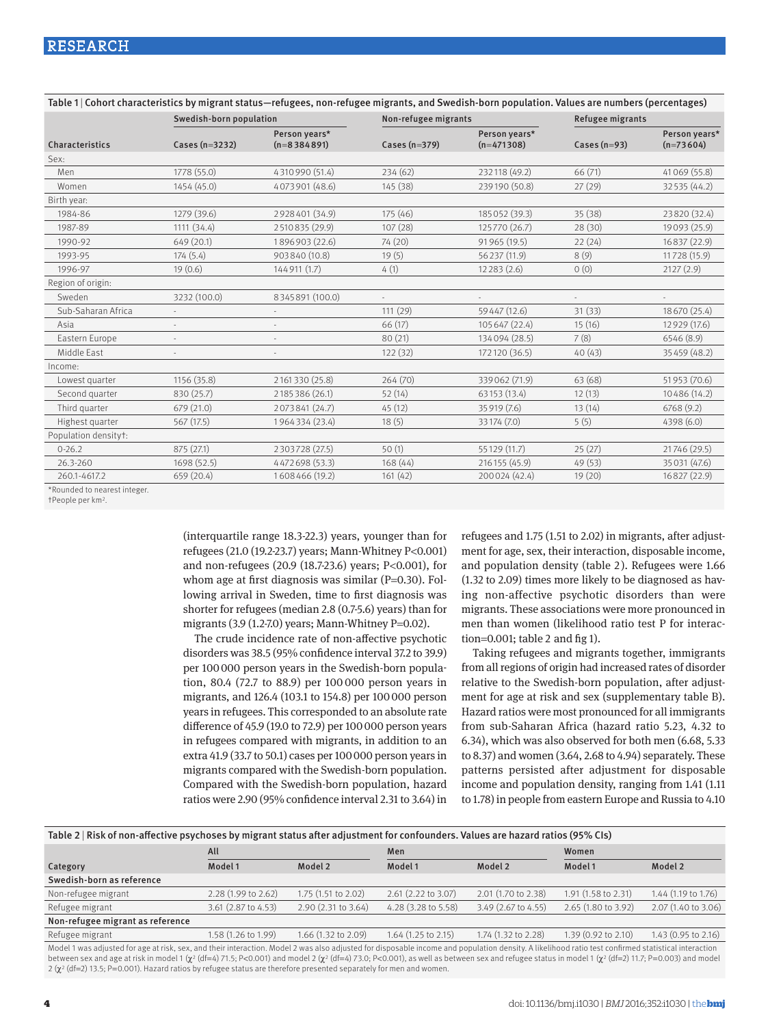|                      |                         | Table 1   Cohort characteristics by migrant status—refugees, non-refugee migrants, and Swedish-born population. Values are numbers (percentages) |                          |                               |                  |                              |
|----------------------|-------------------------|--------------------------------------------------------------------------------------------------------------------------------------------------|--------------------------|-------------------------------|------------------|------------------------------|
|                      | Swedish-born population |                                                                                                                                                  | Non-refugee migrants     |                               | Refugee migrants |                              |
| Characteristics      | Cases (n=3232)          | Person years*<br>$(n=8384891)$                                                                                                                   | Cases $(n=379)$          | Person years*<br>$(n=471308)$ | Cases $(n=93)$   | Person years*<br>$(n=73604)$ |
| Sex:                 |                         |                                                                                                                                                  |                          |                               |                  |                              |
| Men                  | 1778 (55.0)             | 4310990 (51.4)                                                                                                                                   | 234(62)                  | 232118 (49.2)                 | 66 (71)          | 41 0 69 (55.8)               |
| Women                | 1454 (45.0)             | 4073901 (48.6)                                                                                                                                   | 145 (38)                 | 239190 (50.8)                 | 27(29)           | 32535 (44.2)                 |
| Birth year:          |                         |                                                                                                                                                  |                          |                               |                  |                              |
| 1984-86              | 1279 (39.6)             | 2928401 (34.9)                                                                                                                                   | 175(46)                  | 185052 (39.3)                 | 35(38)           | 23820 (32.4)                 |
| 1987-89              | 1111 (34.4)             | 2510835 (29.9)                                                                                                                                   | 107(28)                  | 125770 (26.7)                 | 28 (30)          | 19093 (25.9)                 |
| 1990-92              | 649 (20.1)              | 1896903 (22.6)                                                                                                                                   | 74 (20)                  | 91 965 (19.5)                 | 22(24)           | 16837 (22.9)                 |
| 1993-95              | 174(5.4)                | 903840 (10.8)                                                                                                                                    | 19(5)                    | 56237 (11.9)                  | 8(9)             | 11728 (15.9)                 |
| 1996-97              | 19(0.6)                 | 144911 (1.7)                                                                                                                                     | 4(1)                     | 12283(2.6)                    | O(0)             | 2127(2.9)                    |
| Region of origin:    |                         |                                                                                                                                                  |                          |                               |                  |                              |
| Sweden               | 3232 (100.0)            | 8345891 (100.0)                                                                                                                                  | $\overline{\phantom{a}}$ |                               | $\bar{a}$        |                              |
| Sub-Saharan Africa   |                         |                                                                                                                                                  | 111(29)                  | 59447 (12.6)                  | 31(33)           | 18 670 (25.4)                |
| Asia                 |                         |                                                                                                                                                  | 66 (17)                  | 105 647 (22.4)                | 15(16)           | 12929 (17.6)                 |
| Eastern Europe       |                         |                                                                                                                                                  | 80(21)                   | 134094 (28.5)                 | 7(8)             | 6546 (8.9)                   |
| Middle East          |                         |                                                                                                                                                  | 122(32)                  | 172120 (36.5)                 | 40(43)           | 35 459 (48.2)                |
| Income:              |                         |                                                                                                                                                  |                          |                               |                  |                              |
| Lowest quarter       | 1156 (35.8)             | 2161330 (25.8)                                                                                                                                   | 264(70)                  | 339062 (71.9)                 | 63(68)           | 51953 (70.6)                 |
| Second quarter       | 830 (25.7)              | 2185386 (26.1)                                                                                                                                   | 52(14)                   | 63153 (13.4)                  | 12(13)           | 10486 (14.2)                 |
| Third quarter        | 679 (21.0)              | 2073841 (24.7)                                                                                                                                   | 45 (12)                  | 35 919 (7.6)                  | 13(14)           | 6768 (9.2)                   |
| Highest quarter      | 567 (17.5)              | 1964334 (23.4)                                                                                                                                   | 18(5)                    | 33174 (7.0)                   | 5(5)             | 4398 (6.0)                   |
| Population densityt: |                         |                                                                                                                                                  |                          |                               |                  |                              |
| $0 - 26.2$           | 875 (27.1)              | 2303728 (27.5)                                                                                                                                   | 50(1)                    | 55129 (11.7)                  | 25(27)           | 21746 (29.5)                 |
| 26.3-260             | 1698 (52.5)             | 4472698 (53.3)                                                                                                                                   | 168(44)                  | 216155 (45.9)                 | 49(53)           | 35 0 31 (47.6)               |
| 260.1-4617.2         | 659 (20.4)              | 1608466 (19.2)                                                                                                                                   | 161(42)                  | 200024 (42.4)                 | 19(20)           | 16827 (22.9)                 |
|                      |                         |                                                                                                                                                  |                          |                               |                  |                              |

\*Rounded to nearest integer.

(interquartile range 18.3-22.3) years, younger than for refugees (21.0 (19.2-23.7) years; Mann-Whitney P<0.001) and non-refugees (20.9 (18.7-23.6) years; P<0.001), for whom age at first diagnosis was similar (P=0.30). Following arrival in Sweden, time to first diagnosis was shorter for refugees (median 2.8 (0.7-5.6) years) than for migrants (3.9 (1.2-7.0) years; Mann-Whitney P=0.02).

The crude incidence rate of non-affective psychotic disorders was 38.5 (95% confidence interval 37.2 to 39.9) per 100000 person years in the Swedish-born population, 80.4 (72.7 to 88.9) per 100 000 person years in migrants, and 126.4 (103.1 to 154.8) per 100000 person years in refugees. This corresponded to an absolute rate difference of 45.9 (19.0 to 72.9) per 100000 person years in refugees compared with migrants, in addition to an extra 41.9 (33.7 to 50.1) cases per 100000 person years in migrants compared with the Swedish-born population. Compared with the Swedish-born population, hazard ratios were 2.90 (95% confidence interval 2.31 to 3.64) in

refugees and 1.75 (1.51 to 2.02) in migrants, after adjustment for age, sex, their interaction, disposable income, and population density (table 2). Refugees were 1.66 (1.32 to 2.09) times more likely to be diagnosed as having non-affective psychotic disorders than were migrants. These associations were more pronounced in men than women (likelihood ratio test P for interaction=0.001; table 2 and fig 1).

Taking refugees and migrants together, immigrants from all regions of origin had increased rates of disorder relative to the Swedish-born population, after adjustment for age at risk and sex (supplementary table B). Hazard ratios were most pronounced for all immigrants from sub-Saharan Africa (hazard ratio 5.23, 4.32 to 6.34), which was also observed for both men (6.68, 5.33 to 8.37) and women (3.64, 2.68 to 4.94) separately. These patterns persisted after adjustment for disposable income and population density, ranging from 1.41 (1.11 to 1.78) in people from eastern Europe and Russia to 4.10

| Table 2   Risk of non-affective psychoses by migrant status after adjustment for confounders. Values are hazard ratios (95% CIs) |                     |                     |                       |                     |                     |                       |  |  |
|----------------------------------------------------------------------------------------------------------------------------------|---------------------|---------------------|-----------------------|---------------------|---------------------|-----------------------|--|--|
|                                                                                                                                  | All                 |                     | Men                   |                     | Women               |                       |  |  |
| Category                                                                                                                         | Model 1             | Model 2             | Model 1               | Model 2             | Model 1             | Model 2               |  |  |
| Swedish-born as reference                                                                                                        |                     |                     |                       |                     |                     |                       |  |  |
| Non-refugee migrant                                                                                                              | 2.28 (1.99 to 2.62) | 1.75(1.51 to 2.02)  | 2.61 (2.22 to 3.07)   | 2.01 (1.70 to 2.38) | 1.91 (1.58 to 2.31) | 1.44 (1.19 to 1.76)   |  |  |
| Refugee migrant                                                                                                                  | 3.61 (2.87 to 4.53) | 2.90(2.31 to 3.64)  | 4.28 (3.28 to 5.58)   | 3.49 (2.67 to 4.55) | 2.65 (1.80 to 3.92) | 2.07 (1.40 to 3.06)   |  |  |
| Non-refugee migrant as reference                                                                                                 |                     |                     |                       |                     |                     |                       |  |  |
| Refugee migrant                                                                                                                  | 1.58 (1.26 to 1.99) | 1.66 (1.32 to 2.09) | $1.64$ (1.25 to 2.15) | 1.74 (1.32 to 2.28) | 1.39 (0.92 to 2.10) | $1.43$ (0.95 to 2.16) |  |  |

Model 1 was adjusted for age at risk, sex, and their interaction. Model 2 was also adjusted for disposable income and population density. A likelihood ratio test confirmed statistical interaction between sex and age at risk in model 1 ( $\chi^2$  (df=4) 71.5; P<0.001) and model 2 ( $\chi^2$  (df=4) 73.0; P<0.001), as well as between sex and refugee status in model 1 ( $\chi^2$  (df=2) 11.7; P=0.003) and model  $2$  ( $\chi^2$  (df=2) 13.5; P=0.001). Hazard ratios by refugee status are therefore presented separately for men and women.

<sup>†</sup>People per km2.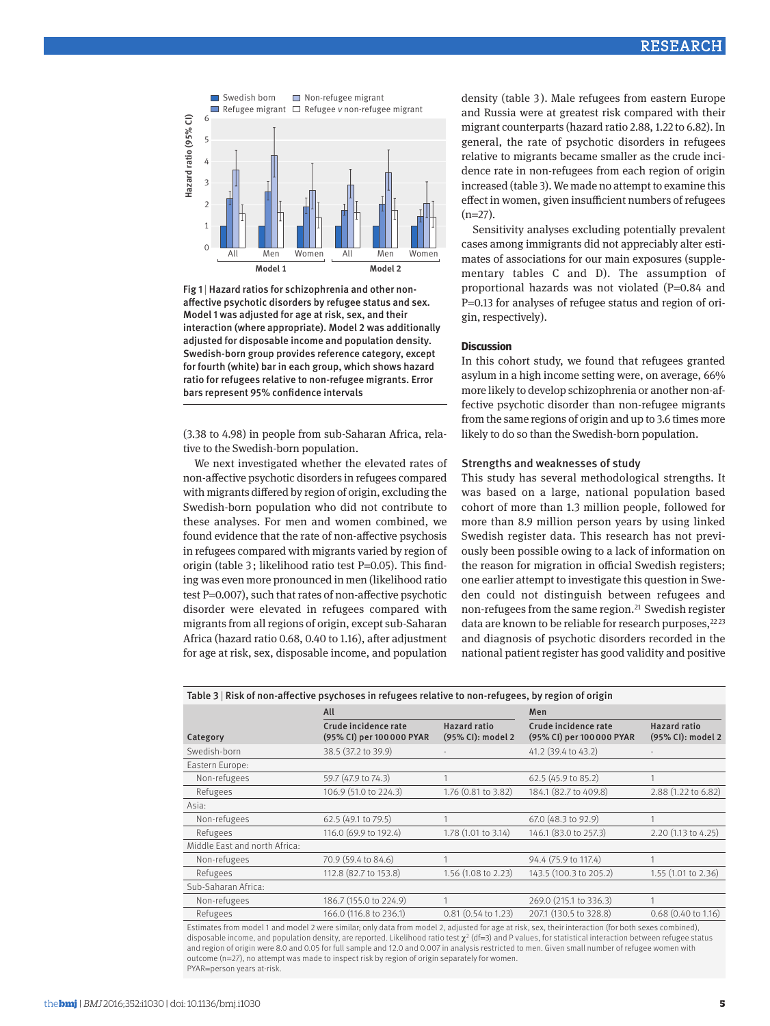

Fig 1 | Hazard ratios for schizophrenia and other nonaffective psychotic disorders by refugee status and sex. Model 1 was adjusted for age at risk, sex, and their interaction (where appropriate). Model 2 was additionally adjusted for disposable income and population density. Swedish-born group provides reference category, except for fourth (white) bar in each group, which shows hazard ratio for refugees relative to non-refugee migrants. Error bars represent 95% confidence intervals

(3.38 to 4.98) in people from sub-Saharan Africa, relative to the Swedish-born population.

We next investigated whether the elevated rates of non-affective psychotic disorders in refugees compared with migrants differed by region of origin, excluding the Swedish-born population who did not contribute to these analyses. For men and women combined, we found evidence that the rate of non-affective psychosis in refugees compared with migrants varied by region of origin (table 3; likelihood ratio test P=0.05). This finding was even more pronounced in men (likelihood ratio test P=0.007), such that rates of non-affective psychotic disorder were elevated in refugees compared with migrants from all regions of origin, except sub-Saharan Africa (hazard ratio 0.68, 0.40 to 1.16), after adjustment for age at risk, sex, disposable income, and population

density (table 3). Male refugees from eastern Europe and Russia were at greatest risk compared with their migrant counterparts (hazard ratio 2.88, 1.22 to 6.82). In general, the rate of psychotic disorders in refugees relative to migrants became smaller as the crude incidence rate in non-refugees from each region of origin increased (table 3). We made no attempt to examine this effect in women, given insufficient numbers of refugees  $(n=27)$ 

Sensitivity analyses excluding potentially prevalent cases among immigrants did not appreciably alter estimates of associations for our main exposures (supplementary tables C and D). The assumption of proportional hazards was not violated (P=0.84 and P=0.13 for analyses of refugee status and region of origin, respectively).

#### **Discussion**

In this cohort study, we found that refugees granted asylum in a high income setting were, on average, 66% more likely to develop schizophrenia or another non-affective psychotic disorder than non-refugee migrants from the same regions of origin and up to 3.6 times more likely to do so than the Swedish-born population.

#### Strengths and weaknesses of study

This study has several methodological strengths. It was based on a large, national population based cohort of more than 1.3 million people, followed for more than 8.9 million person years by using linked Swedish register data. This research has not previously been possible owing to a lack of information on the reason for migration in official Swedish registers; one earlier attempt to investigate this question in Sweden could not distinguish between refugees and non-refugees from the same region.<sup>21</sup> Swedish register data are known to be reliable for research purposes, <sup>22 23</sup> and diagnosis of psychotic disorders recorded in the national patient register has good validity and positive

| Table 3   Risk of non-affective psychoses in refugees relative to non-refugees, by region of origin |                                                   |                                   |                                                   |                                    |  |  |  |
|-----------------------------------------------------------------------------------------------------|---------------------------------------------------|-----------------------------------|---------------------------------------------------|------------------------------------|--|--|--|
|                                                                                                     | All                                               |                                   | Men                                               |                                    |  |  |  |
| Category                                                                                            | Crude incidence rate<br>(95% CI) per 100 000 PYAR | Hazard ratio<br>(95% CI): model 2 | Crude incidence rate<br>(95% CI) per 100 000 PYAR | Hazard ratio<br>(95% CI): model 2  |  |  |  |
| Swedish-born                                                                                        | 38.5 (37.2 to 39.9)                               |                                   | 41.2 (39.4 to 43.2)                               |                                    |  |  |  |
| Eastern Europe:                                                                                     |                                                   |                                   |                                                   |                                    |  |  |  |
| Non-refugees                                                                                        | 59.7 (47.9 to 74.3)                               |                                   | 62.5 (45.9 to 85.2)                               |                                    |  |  |  |
| Refugees                                                                                            | 106.9 (51.0 to 224.3)                             | 1.76 (0.81 to 3.82)               | 184.1 (82.7 to 409.8)                             | 2.88 (1.22 to 6.82)                |  |  |  |
| Asia:                                                                                               |                                                   |                                   |                                                   |                                    |  |  |  |
| Non-refugees                                                                                        | 62.5 (49.1 to 79.5)                               |                                   | 67.0 (48.3 to 92.9)                               |                                    |  |  |  |
| Refugees                                                                                            | 116.0 (69.9 to 192.4)                             | 1.78 (1.01 to 3.14)               | 146.1 (83.0 to 257.3)                             | 2.20 (1.13 to 4.25)                |  |  |  |
| Middle East and north Africa:                                                                       |                                                   |                                   |                                                   |                                    |  |  |  |
| Non-refugees                                                                                        | 70.9 (59.4 to 84.6)                               |                                   | 94.4 (75.9 to 117.4)                              |                                    |  |  |  |
| Refugees                                                                                            | 112.8 (82.7 to 153.8)                             | 1.56 (1.08 to 2.23)               | 143.5 (100.3 to 205.2)                            | 1.55 (1.01 to 2.36)                |  |  |  |
| Sub-Saharan Africa:                                                                                 |                                                   |                                   |                                                   |                                    |  |  |  |
| Non-refugees                                                                                        | 186.7 (155.0 to 224.9)                            |                                   | 269.0 (215.1 to 336.3)                            |                                    |  |  |  |
| Refugees                                                                                            | 166.0 (116.8 to 236.1)                            | $0.81(0.54 \text{ to } 1.23)$     | 207.1 (130.5 to 328.8)                            | $0.68$ (0.40 to 1.16)              |  |  |  |
|                                                                                                     |                                                   |                                   |                                                   | $\sim$ $\sim$ $\sim$ $\sim$ $\sim$ |  |  |  |

Estimates from model 1 and model 2 were similar; only data from model 2, adjusted for age at risk, sex, their interaction (for both sexes combined), disposable income, and population density, are reported. Likelihood ratio test  $\chi^2$  (df=3) and P values, for statistical interaction between refugee status and region of origin were 8.0 and 0.05 for full sample and 12.0 and 0.007 in analysis restricted to men. Given small number of refugee women with outcome (n=27), no attempt was made to inspect risk by region of origin separately for women. PYAR=person years at-risk.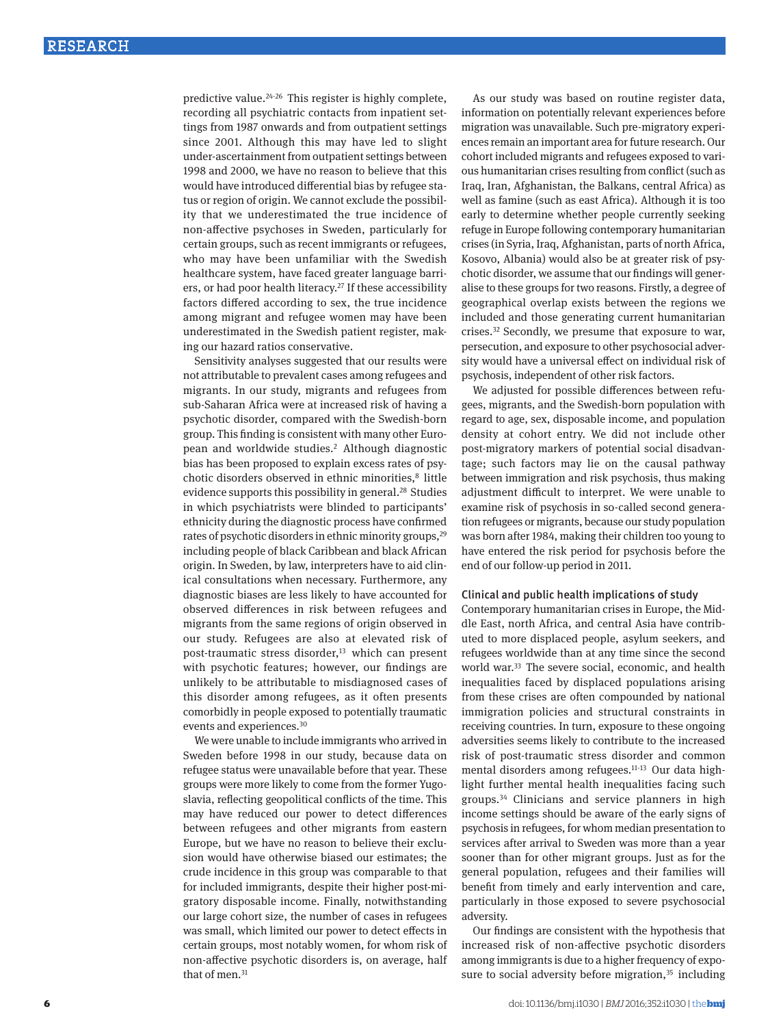predictive value.24-26 This register is highly complete, recording all psychiatric contacts from inpatient settings from 1987 onwards and from outpatient settings since 2001. Although this may have led to slight under-ascertainment from outpatient settings between 1998 and 2000, we have no reason to believe that this would have introduced differential bias by refugee status or region of origin. We cannot exclude the possibility that we underestimated the true incidence of non-affective psychoses in Sweden, particularly for certain groups, such as recent immigrants or refugees, who may have been unfamiliar with the Swedish healthcare system, have faced greater language barriers, or had poor health literacy.<sup>27</sup> If these accessibility factors differed according to sex, the true incidence among migrant and refugee women may have been underestimated in the Swedish patient register, making our hazard ratios conservative.

Sensitivity analyses suggested that our results were not attributable to prevalent cases among refugees and migrants. In our study, migrants and refugees from sub-Saharan Africa were at increased risk of having a psychotic disorder, compared with the Swedish-born group. This finding is consistent with many other European and worldwide studies.2 Although diagnostic bias has been proposed to explain excess rates of psychotic disorders observed in ethnic minorities,<sup>8</sup> little evidence supports this possibility in general.<sup>28</sup> Studies in which psychiatrists were blinded to participants' ethnicity during the diagnostic process have confirmed rates of psychotic disorders in ethnic minority groups,<sup>29</sup> including people of black Caribbean and black African origin. In Sweden, by law, interpreters have to aid clinical consultations when necessary. Furthermore, any diagnostic biases are less likely to have accounted for observed differences in risk between refugees and migrants from the same regions of origin observed in our study. Refugees are also at elevated risk of post-traumatic stress disorder,<sup>13</sup> which can present with psychotic features; however, our findings are unlikely to be attributable to misdiagnosed cases of this disorder among refugees, as it often presents comorbidly in people exposed to potentially traumatic events and experiences.30

We were unable to include immigrants who arrived in Sweden before 1998 in our study, because data on refugee status were unavailable before that year. These groups were more likely to come from the former Yugoslavia, reflecting geopolitical conflicts of the time. This may have reduced our power to detect differences between refugees and other migrants from eastern Europe, but we have no reason to believe their exclusion would have otherwise biased our estimates; the crude incidence in this group was comparable to that for included immigrants, despite their higher post-migratory disposable income. Finally, notwithstanding our large cohort size, the number of cases in refugees was small, which limited our power to detect effects in certain groups, most notably women, for whom risk of non-affective psychotic disorders is, on average, half that of men.<sup>31</sup>

As our study was based on routine register data, information on potentially relevant experiences before migration was unavailable. Such pre-migratory experiences remain an important area for future research. Our cohort included migrants and refugees exposed to various humanitarian crises resulting from conflict (such as Iraq, Iran, Afghanistan, the Balkans, central Africa) as well as famine (such as east Africa). Although it is too early to determine whether people currently seeking refuge in Europe following contemporary humanitarian crises (in Syria, Iraq, Afghanistan, parts of north Africa, Kosovo, Albania) would also be at greater risk of psychotic disorder, we assume that our findings will generalise to these groups for two reasons. Firstly, a degree of geographical overlap exists between the regions we included and those generating current humanitarian crises.32 Secondly, we presume that exposure to war, persecution, and exposure to other psychosocial adversity would have a universal effect on individual risk of psychosis, independent of other risk factors.

We adjusted for possible differences between refugees, migrants, and the Swedish-born population with regard to age, sex, disposable income, and population density at cohort entry. We did not include other post-migratory markers of potential social disadvantage; such factors may lie on the causal pathway between immigration and risk psychosis, thus making adjustment difficult to interpret. We were unable to examine risk of psychosis in so-called second generation refugees or migrants, because our study population was born after 1984, making their children too young to have entered the risk period for psychosis before the end of our follow-up period in 2011.

#### Clinical and public health implications of study

Contemporary humanitarian crises in Europe, the Middle East, north Africa, and central Asia have contributed to more displaced people, asylum seekers, and refugees worldwide than at any time since the second world war.33 The severe social, economic, and health inequalities faced by displaced populations arising from these crises are often compounded by national immigration policies and structural constraints in receiving countries. In turn, exposure to these ongoing adversities seems likely to contribute to the increased risk of post-traumatic stress disorder and common mental disorders among refugees.11-13 Our data highlight further mental health inequalities facing such groups.34 Clinicians and service planners in high income settings should be aware of the early signs of psychosis in refugees, for whom median presentation to services after arrival to Sweden was more than a year sooner than for other migrant groups. Just as for the general population, refugees and their families will benefit from timely and early intervention and care, particularly in those exposed to severe psychosocial adversity.

Our findings are consistent with the hypothesis that increased risk of non-affective psychotic disorders among immigrants is due to a higher frequency of exposure to social adversity before migration, $35$  including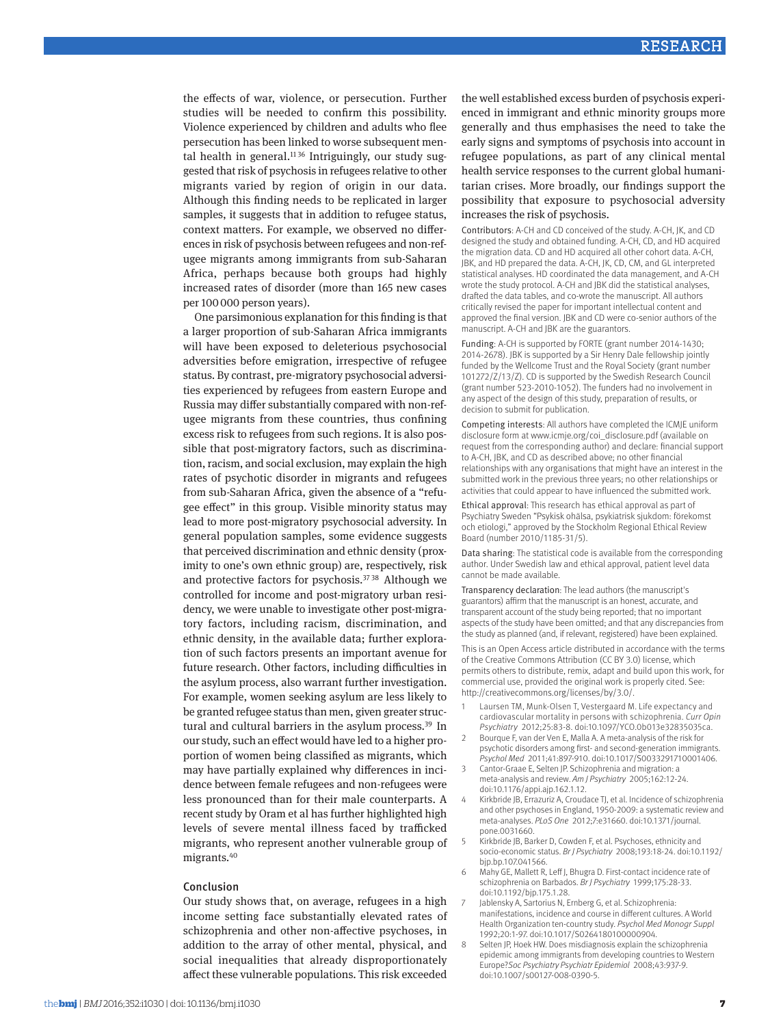the effects of war, violence, or persecution. Further studies will be needed to confirm this possibility. Violence experienced by children and adults who flee persecution has been linked to worse subsequent mental health in general. $1136$  Intriguingly, our study suggested that risk of psychosis in refugees relative to other migrants varied by region of origin in our data. Although this finding needs to be replicated in larger samples, it suggests that in addition to refugee status, context matters. For example, we observed no differences in risk of psychosis between refugees and non-refugee migrants among immigrants from sub-Saharan Africa, perhaps because both groups had highly increased rates of disorder (more than 165 new cases per 100000 person years).

One parsimonious explanation for this finding is that a larger proportion of sub-Saharan Africa immigrants will have been exposed to deleterious psychosocial adversities before emigration, irrespective of refugee status. By contrast, pre-migratory psychosocial adversities experienced by refugees from eastern Europe and Russia may differ substantially compared with non-refugee migrants from these countries, thus confining excess risk to refugees from such regions. It is also possible that post-migratory factors, such as discrimination, racism, and social exclusion, may explain the high rates of psychotic disorder in migrants and refugees from sub-Saharan Africa, given the absence of a "refugee effect" in this group. Visible minority status may lead to more post-migratory psychosocial adversity. In general population samples, some evidence suggests that perceived discrimination and ethnic density (proximity to one's own ethnic group) are, respectively, risk and protective factors for psychosis.<sup>37</sup> <sup>38</sup> Although we controlled for income and post-migratory urban residency, we were unable to investigate other post-migratory factors, including racism, discrimination, and ethnic density, in the available data; further exploration of such factors presents an important avenue for future research. Other factors, including difficulties in the asylum process, also warrant further investigation. For example, women seeking asylum are less likely to be granted refugee status than men, given greater structural and cultural barriers in the asylum process.<sup>39</sup> In our study, such an effect would have led to a higher proportion of women being classified as migrants, which may have partially explained why differences in incidence between female refugees and non-refugees were less pronounced than for their male counterparts. A recent study by Oram et al has further highlighted high levels of severe mental illness faced by trafficked migrants, who represent another vulnerable group of migrants.40

#### Conclusion

Our study shows that, on average, refugees in a high income setting face substantially elevated rates of schizophrenia and other non-affective psychoses, in addition to the array of other mental, physical, and social inequalities that already disproportionately affect these vulnerable populations. This risk exceeded

the well established excess burden of psychosis experienced in immigrant and ethnic minority groups more generally and thus emphasises the need to take the early signs and symptoms of psychosis into account in refugee populations, as part of any clinical mental health service responses to the current global humanitarian crises. More broadly, our findings support the possibility that exposure to psychosocial adversity increases the risk of psychosis.

Contributors: A-CH and CD conceived of the study. A-CH, JK, and CD designed the study and obtained funding. A-CH, CD, and HD acquired the migration data. CD and HD acquired all other cohort data. A-CH, JBK, and HD prepared the data. A-CH, JK, CD, CM, and GL interpreted statistical analyses. HD coordinated the data management, and A-CH wrote the study protocol. A-CH and JBK did the statistical analyses, drafted the data tables, and co-wrote the manuscript. All authors critically revised the paper for important intellectual content and approved the final version. JBK and CD were co-senior authors of the manuscript. A-CH and JBK are the guarantors.

Funding: A-CH is supported by FORTE (grant number 2014-1430; 2014-2678). JBK is supported by a Sir Henry Dale fellowship jointly funded by the Wellcome Trust and the Royal Society (grant number 101272/Z/13/Z). CD is supported by the Swedish Research Council (grant number 523-2010-1052). The funders had no involvement in any aspect of the design of this study, preparation of results, or decision to submit for publication.

Competing interests: All authors have completed the ICMJE uniform disclosure form at www.icmje.org/coi\_disclosure.pdf (available on request from the corresponding author) and declare: financial support to A-CH, JBK, and CD as described above; no other financial relationships with any organisations that might have an interest in the submitted work in the previous three years; no other relationships or activities that could appear to have influenced the submitted work.

Ethical approval: This research has ethical approval as part of Psychiatry Sweden "Psykisk ohälsa, psykiatrisk sjukdom: förekomst och etiologi," approved by the Stockholm Regional Ethical Review Board (number 2010/1185-31/5).

Data sharing: The statistical code is available from the corresponding author. Under Swedish law and ethical approval, patient level data cannot be made available.

Transparency declaration: The lead authors (the manuscript's guarantors) affirm that the manuscript is an honest, accurate, and transparent account of the study being reported; that no important aspects of the study have been omitted; and that any discrepancies from the study as planned (and, if relevant, registered) have been explained.

This is an Open Access article distributed in accordance with the terms of the Creative Commons Attribution (CC BY 3.0) license, which permits others to distribute, remix, adapt and build upon this work, for commercial use, provided the original work is properly cited. See: http://creativecommons.org/licenses/by/3.0/.

- Laursen TM, Munk-Olsen T, Vestergaard M. Life expectancy and cardiovascular mortality in persons with schizophrenia. *Curr Opin Psychiatry* 2012;25:83-8. doi:10.1097/YCO.0b013e32835035ca.
- 2 Bourque F, van der Ven E, Malla A. A meta-analysis of the risk for psychotic disorders among first- and second-generation immigrants. *Psychol Med* 2011;41:897-910. doi:10.1017/S0033291710001406.
- Cantor-Graae E, Selten JP. Schizophrenia and migration: a meta-analysis and review. *Am J Psychiatry* 2005;162:12-24. doi:10.1176/appi.ajp.162.1.12.
- Kirkbride JB, Errazuriz A, Croudace TJ, et al. Incidence of schizophrenia and other psychoses in England, 1950-2009: a systematic review and meta-analyses. *PLoS One* 2012;7:e31660. doi:10.1371/journal. pone.0031660.
- 5 Kirkbride JB, Barker D, Cowden F, et al. Psychoses, ethnicity and socio-economic status. *Br J Psychiatry* 2008;193:18-24. doi:10.1192/ bjp.bp.107.041566.
- Mahy GE, Mallett R, Leff J, Bhugra D. First-contact incidence rate of schizophrenia on Barbados. *Br J Psychiatry* 1999;175:28-33. doi:10.1192/bjp.175.1.28.
- Jablensky A, Sartorius N, Ernberg G, et al. Schizophrenia: manifestations, incidence and course in different cultures. A World Health Organization ten-country study. *Psychol Med Monogr Suppl* 1992;20:1-97. doi:10.1017/S0264180100000904.
- 8 Selten JP, Hoek HW. Does misdiagnosis explain the schizophrenia epidemic among immigrants from developing countries to Western Europe?*Soc Psychiatry Psychiatr Epidemiol* 2008;43:937-9. doi:10.1007/s00127-008-0390-5.